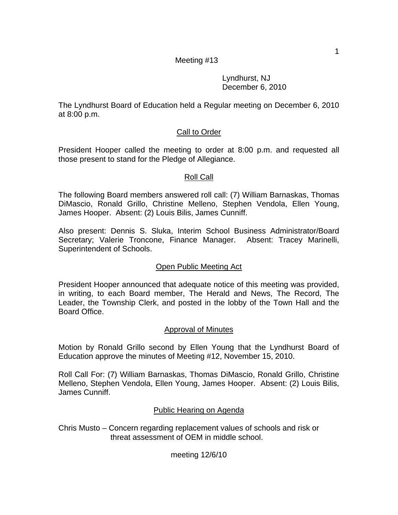## Lyndhurst, NJ December 6, 2010

The Lyndhurst Board of Education held a Regular meeting on December 6, 2010 at 8:00 p.m.

# Call to Order

President Hooper called the meeting to order at 8:00 p.m. and requested all those present to stand for the Pledge of Allegiance.

# Roll Call

The following Board members answered roll call: (7) William Barnaskas, Thomas DiMascio, Ronald Grillo, Christine Melleno, Stephen Vendola, Ellen Young, James Hooper. Absent: (2) Louis Bilis, James Cunniff.

Also present: Dennis S. Sluka, Interim School Business Administrator/Board Secretary; Valerie Troncone, Finance Manager. Absent: Tracey Marinelli, Superintendent of Schools.

# Open Public Meeting Act

President Hooper announced that adequate notice of this meeting was provided, in writing, to each Board member, The Herald and News, The Record, The Leader, the Township Clerk, and posted in the lobby of the Town Hall and the Board Office.

# Approval of Minutes

Motion by Ronald Grillo second by Ellen Young that the Lyndhurst Board of Education approve the minutes of Meeting #12, November 15, 2010.

Roll Call For: (7) William Barnaskas, Thomas DiMascio, Ronald Grillo, Christine Melleno, Stephen Vendola, Ellen Young, James Hooper. Absent: (2) Louis Bilis, James Cunniff.

# Public Hearing on Agenda

Chris Musto – Concern regarding replacement values of schools and risk or threat assessment of OEM in middle school.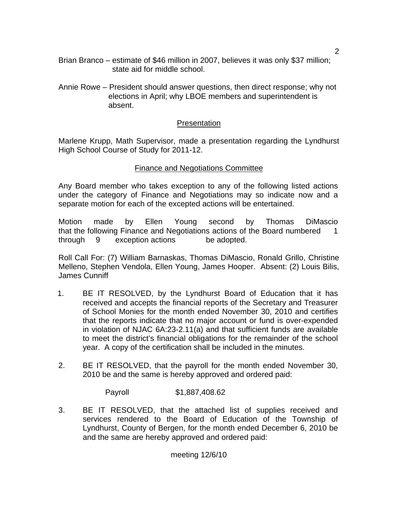- Brian Branco estimate of \$46 million in 2007, believes it was only \$37 million; state aid for middle school.
- Annie Rowe President should answer questions, then direct response; why not elections in April; why LBOE members and superintendent is absent.

### **Presentation**

Marlene Krupp, Math Supervisor, made a presentation regarding the Lyndhurst High School Course of Study for 2011-12.

### Finance and Negotiations Committee

Any Board member who takes exception to any of the following listed actions under the category of Finance and Negotiations may so indicate now and a separate motion for each of the excepted actions will be entertained.

Motion made by Ellen Young second by Thomas DiMascio that the following Finance and Negotiations actions of the Board numbered 1 through 9 exception actions be adopted.

Roll Call For: (7) William Barnaskas, Thomas DiMascio, Ronald Grillo, Christine Melleno, Stephen Vendola, Ellen Young, James Hooper. Absent: (2) Louis Bilis, James Cunniff

- 1. BE IT RESOLVED, by the Lyndhurst Board of Education that it has received and accepts the financial reports of the Secretary and Treasurer of School Monies for the month ended November 30, 2010 and certifies that the reports indicate that no major account or fund is over-expended in violation of NJAC 6A:23-2.11(a) and that sufficient funds are available to meet the district's financial obligations for the remainder of the school year. A copy of the certification shall be included in the minutes.
- 2. BE IT RESOLVED, that the payroll for the month ended November 30, 2010 be and the same is hereby approved and ordered paid:

Payroll \$1,887,408.62

3. BE IT RESOLVED, that the attached list of supplies received and services rendered to the Board of Education of the Township of Lyndhurst, County of Bergen, for the month ended December 6, 2010 be and the same are hereby approved and ordered paid: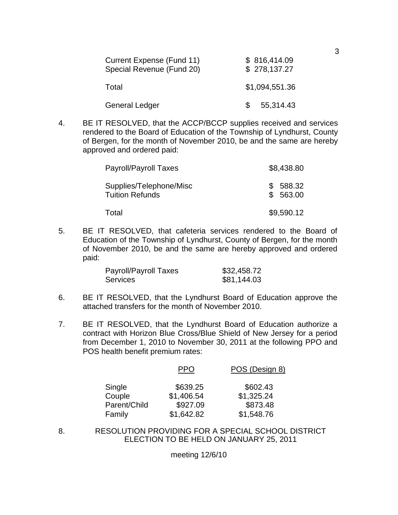| Current Expense (Fund 11)<br>Special Revenue (Fund 20) |     | \$816,414.09<br>\$278,137.27 |
|--------------------------------------------------------|-----|------------------------------|
| Total                                                  |     | \$1,094,551.36               |
| <b>General Ledger</b>                                  | \$. | 55,314.43                    |

4. BE IT RESOLVED, that the ACCP/BCCP supplies received and services rendered to the Board of Education of the Township of Lyndhurst, County of Bergen, for the month of November 2010, be and the same are hereby approved and ordered paid:

| Payroll/Payroll Taxes                             | \$8,438.80         |
|---------------------------------------------------|--------------------|
| Supplies/Telephone/Misc<br><b>Tuition Refunds</b> | 588.32<br>\$563.00 |
| Total                                             | \$9,590.12         |

5. BE IT RESOLVED, that cafeteria services rendered to the Board of Education of the Township of Lyndhurst, County of Bergen, for the month of November 2010, be and the same are hereby approved and ordered paid:

| Payroll/Payroll Taxes | \$32,458.72 |
|-----------------------|-------------|
| <b>Services</b>       | \$81,144.03 |

- 6. BE IT RESOLVED, that the Lyndhurst Board of Education approve the attached transfers for the month of November 2010.
- 7. BE IT RESOLVED, that the Lyndhurst Board of Education authorize a contract with Horizon Blue Cross/Blue Shield of New Jersey for a period from December 1, 2010 to November 30, 2011 at the following PPO and POS health benefit premium rates:

|              | PPO        | POS (Design 8) |
|--------------|------------|----------------|
| Single       | \$639.25   | \$602.43       |
| Couple       | \$1,406.54 | \$1,325.24     |
| Parent/Child | \$927.09   | \$873.48       |
| Family       | \$1,642.82 | \$1,548.76     |

8. RESOLUTION PROVIDING FOR A SPECIAL SCHOOL DISTRICT ELECTION TO BE HELD ON JANUARY 25, 2011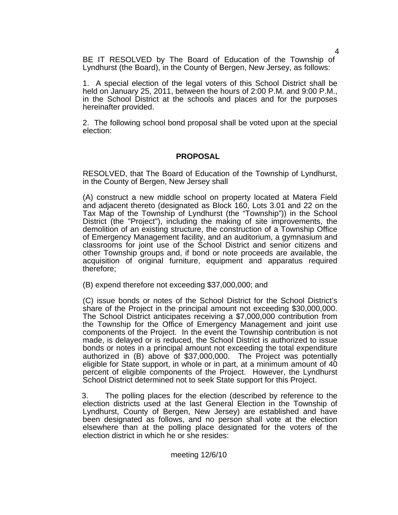BE IT RESOLVED by The Board of Education of the Township of Lyndhurst (the Board), in the County of Bergen, New Jersey, as follows:

1. A special election of the legal voters of this School District shall be held on January 25, 2011, between the hours of 2:00 P.M. and 9:00 P.M., in the School District at the schools and places and for the purposes hereinafter provided.

2. The following school bond proposal shall be voted upon at the special election:

### **PROPOSAL**

 RESOLVED, that The Board of Education of the Township of Lyndhurst, in the County of Bergen, New Jersey shall

(A) construct a new middle school on property located at Matera Field and adjacent thereto (designated as Block 160, Lots 3.01 and 22 on the Tax Map of the Township of Lyndhurst (the "Township")) in the School District (the "Project"), including the making of site improvements, the demolition of an existing structure, the construction of a Township Office of Emergency Management facility, and an auditorium, a gymnasium and classrooms for joint use of the School District and senior citizens and other Township groups and, if bond or note proceeds are available, the acquisition of original furniture, equipment and apparatus required therefore;

(B) expend therefore not exceeding \$37,000,000; and

(C) issue bonds or notes of the School District for the School District's share of the Project in the principal amount not exceeding \$30,000,000. The School District anticipates receiving a \$7,000,000 contribution from the Township for the Office of Emergency Management and joint use components of the Project. In the event the Township contribution is not made, is delayed or is reduced, the School District is authorized to issue bonds or notes in a principal amount not exceeding the total expenditure authorized in (B) above of \$37,000,000. The Project was potentially eligible for State support, in whole or in part, at a minimum amount of 40 percent of eligible components of the Project. However, the Lyndhurst School District determined not to seek State support for this Project.

3. The polling places for the election (described by reference to the election districts used at the last General Election in the Township of Lyndhurst, County of Bergen, New Jersey) are established and have been designated as follows, and no person shall vote at the election elsewhere than at the polling place designated for the voters of the election district in which he or she resides:

4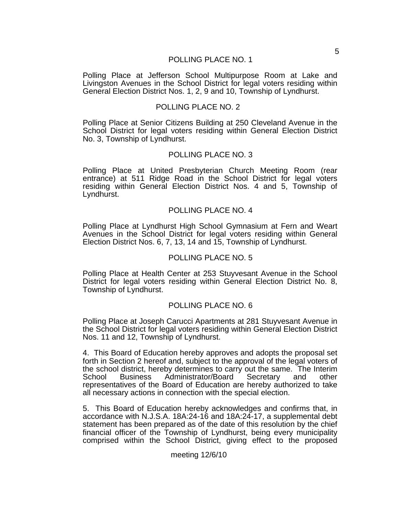#### POLLING PLACE NO. 1

Polling Place at Jefferson School Multipurpose Room at Lake and Livingston Avenues in the School District for legal voters residing within General Election District Nos. 1, 2, 9 and 10, Township of Lyndhurst.

#### POLLING PLACE NO. 2

Polling Place at Senior Citizens Building at 250 Cleveland Avenue in the School District for legal voters residing within General Election District No. 3, Township of Lyndhurst.

#### POLLING PLACE NO. 3

Polling Place at United Presbyterian Church Meeting Room (rear entrance) at 511 Ridge Road in the School District for legal voters residing within General Election District Nos. 4 and 5, Township of Lyndhurst.

#### POLLING PLACE NO. 4

Polling Place at Lyndhurst High School Gymnasium at Fern and Weart Avenues in the School District for legal voters residing within General Election District Nos. 6, 7, 13, 14 and 15, Township of Lyndhurst.

#### POLLING PLACE NO. 5

Polling Place at Health Center at 253 Stuyvesant Avenue in the School District for legal voters residing within General Election District No. 8, Township of Lyndhurst.

#### POLLING PLACE NO. 6

Polling Place at Joseph Carucci Apartments at 281 Stuyvesant Avenue in the School District for legal voters residing within General Election District Nos. 11 and 12, Township of Lyndhurst.

4. This Board of Education hereby approves and adopts the proposal set forth in Section 2 hereof and, subject to the approval of the legal voters of the school district, hereby determines to carry out the same. The Interim School Business Administrator/Board Secretary and other representatives of the Board of Education are hereby authorized to take all necessary actions in connection with the special election.

5. This Board of Education hereby acknowledges and confirms that, in accordance with N.J.S.A. 18A:24-16 and 18A:24-17, a supplemental debt statement has been prepared as of the date of this resolution by the chief financial officer of the Township of Lyndhurst, being every municipality comprised within the School District, giving effect to the proposed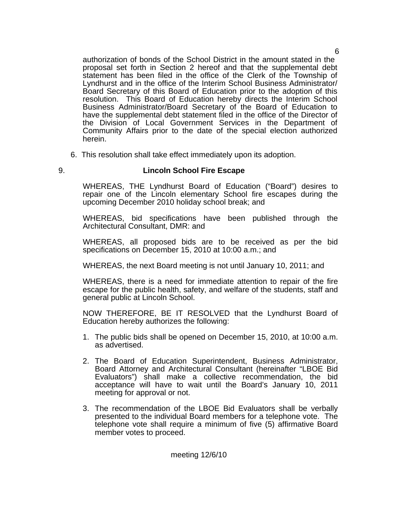authorization of bonds of the School District in the amount stated in the proposal set forth in Section 2 hereof and that the supplemental debt statement has been filed in the office of the Clerk of the Township of Lyndhurst and in the office of the Interim School Business Administrator/ Board Secretary of this Board of Education prior to the adoption of this resolution. This Board of Education hereby directs the Interim School Business Administrator/Board Secretary of the Board of Education to have the supplemental debt statement filed in the office of the Director of the Division of Local Government Services in the Department of Community Affairs prior to the date of the special election authorized herein.

- 6. This resolution shall take effect immediately upon its adoption.
- 

### 9. **Lincoln School Fire Escape**

 WHEREAS, THE Lyndhurst Board of Education ("Board") desires to repair one of the Lincoln elementary School fire escapes during the upcoming December 2010 holiday school break; and

 WHEREAS, bid specifications have been published through the Architectural Consultant, DMR: and

 WHEREAS, all proposed bids are to be received as per the bid specifications on December 15, 2010 at 10:00 a.m.; and

WHEREAS, the next Board meeting is not until January 10, 2011; and

 WHEREAS, there is a need for immediate attention to repair of the fire escape for the public health, safety, and welfare of the students, staff and general public at Lincoln School.

 NOW THEREFORE, BE IT RESOLVED that the Lyndhurst Board of Education hereby authorizes the following:

- 1. The public bids shall be opened on December 15, 2010, at 10:00 a.m. as advertised.
- 2. The Board of Education Superintendent, Business Administrator, Board Attorney and Architectural Consultant (hereinafter "LBOE Bid Evaluators") shall make a collective recommendation, the bid acceptance will have to wait until the Board's January 10, 2011 meeting for approval or not.
- 3. The recommendation of the LBOE Bid Evaluators shall be verbally presented to the individual Board members for a telephone vote. The telephone vote shall require a minimum of five (5) affirmative Board member votes to proceed.

meeting 12/6/10

6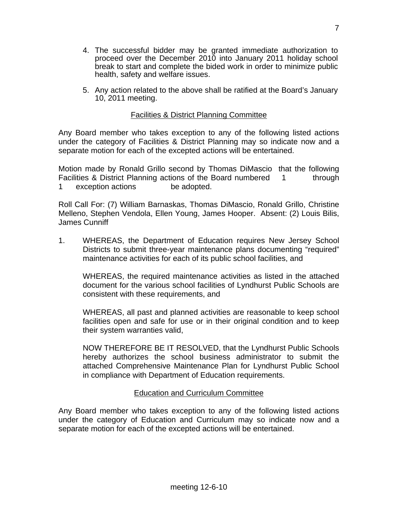- 4. The successful bidder may be granted immediate authorization to proceed over the December 2010 into January 2011 holiday school break to start and complete the bided work in order to minimize public health, safety and welfare issues.
- 5. Any action related to the above shall be ratified at the Board's January 10, 2011 meeting.

### Facilities & District Planning Committee

Any Board member who takes exception to any of the following listed actions under the category of Facilities & District Planning may so indicate now and a separate motion for each of the excepted actions will be entertained.

Motion made by Ronald Grillo second by Thomas DiMascio that the following Facilities & District Planning actions of the Board numbered 1 through 1 exception actions be adopted.

Roll Call For: (7) William Barnaskas, Thomas DiMascio, Ronald Grillo, Christine Melleno, Stephen Vendola, Ellen Young, James Hooper. Absent: (2) Louis Bilis, James Cunniff

1. WHEREAS, the Department of Education requires New Jersey School Districts to submit three-year maintenance plans documenting "required" maintenance activities for each of its public school facilities, and

 WHEREAS, the required maintenance activities as listed in the attached document for the various school facilities of Lyndhurst Public Schools are consistent with these requirements, and

 WHEREAS, all past and planned activities are reasonable to keep school facilities open and safe for use or in their original condition and to keep their system warranties valid,

 NOW THEREFORE BE IT RESOLVED, that the Lyndhurst Public Schools hereby authorizes the school business administrator to submit the attached Comprehensive Maintenance Plan for Lyndhurst Public School in compliance with Department of Education requirements.

### Education and Curriculum Committee

Any Board member who takes exception to any of the following listed actions under the category of Education and Curriculum may so indicate now and a separate motion for each of the excepted actions will be entertained.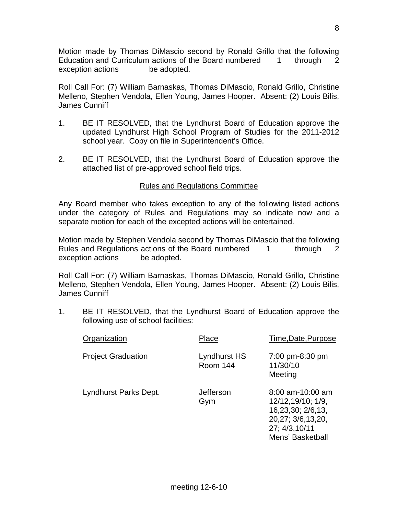Motion made by Thomas DiMascio second by Ronald Grillo that the following Education and Curriculum actions of the Board numbered 1 through 2 exception actions be adopted.

Roll Call For: (7) William Barnaskas, Thomas DiMascio, Ronald Grillo, Christine Melleno, Stephen Vendola, Ellen Young, James Hooper. Absent: (2) Louis Bilis, James Cunniff

- 1. BE IT RESOLVED, that the Lyndhurst Board of Education approve the updated Lyndhurst High School Program of Studies for the 2011-2012 school year. Copy on file in Superintendent's Office.
- 2. BE IT RESOLVED, that the Lyndhurst Board of Education approve the attached list of pre-approved school field trips.

### Rules and Regulations Committee

Any Board member who takes exception to any of the following listed actions under the category of Rules and Regulations may so indicate now and a separate motion for each of the excepted actions will be entertained.

Motion made by Stephen Vendola second by Thomas DiMascio that the following Rules and Regulations actions of the Board numbered 1 through 2 exception actions be adopted.

Roll Call For: (7) William Barnaskas, Thomas DiMascio, Ronald Grillo, Christine Melleno, Stephen Vendola, Ellen Young, James Hooper. Absent: (2) Louis Bilis, James Cunniff

1. BE IT RESOLVED, that the Lyndhurst Board of Education approve the following use of school facilities:

| Organization              | Place                    | Time, Date, Purpose                                                                                                     |
|---------------------------|--------------------------|-------------------------------------------------------------------------------------------------------------------------|
| <b>Project Graduation</b> | Lyndhurst HS<br>Room 144 | 7:00 pm-8:30 pm<br>11/30/10<br>Meeting                                                                                  |
| Lyndhurst Parks Dept.     | Jefferson<br>Gym         | $8:00$ am-10:00 am<br>12/12,19/10; 1/9,<br>16,23,30; 2/6,13,<br>20,27; 3/6,13,20,<br>27; 4/3, 10/11<br>Mens' Basketball |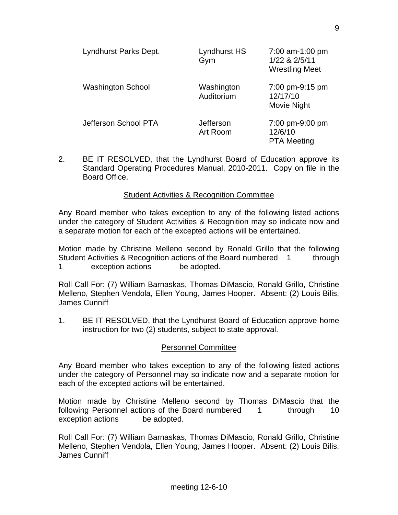| Lyndhurst Parks Dept.    | Lyndhurst HS<br>Gym      | 7:00 am-1:00 pm<br>1/22 & 2/5/11<br><b>Wrestling Meet</b> |
|--------------------------|--------------------------|-----------------------------------------------------------|
| <b>Washington School</b> | Washington<br>Auditorium | 7:00 pm-9:15 pm<br>12/17/10<br>Movie Night                |
| Jefferson School PTA     | Jefferson<br>Art Room    | 7:00 pm-9:00 pm<br>12/6/10<br><b>PTA Meeting</b>          |

2. BE IT RESOLVED, that the Lyndhurst Board of Education approve its Standard Operating Procedures Manual, 2010-2011. Copy on file in the Board Office.

### Student Activities & Recognition Committee

Any Board member who takes exception to any of the following listed actions under the category of Student Activities & Recognition may so indicate now and a separate motion for each of the excepted actions will be entertained.

Motion made by Christine Melleno second by Ronald Grillo that the following Student Activities & Recognition actions of the Board numbered 1 through 1 exception actions be adopted.

Roll Call For: (7) William Barnaskas, Thomas DiMascio, Ronald Grillo, Christine Melleno, Stephen Vendola, Ellen Young, James Hooper. Absent: (2) Louis Bilis, James Cunniff

1. BE IT RESOLVED, that the Lyndhurst Board of Education approve home instruction for two (2) students, subject to state approval.

### Personnel Committee

Any Board member who takes exception to any of the following listed actions under the category of Personnel may so indicate now and a separate motion for each of the excepted actions will be entertained.

Motion made by Christine Melleno second by Thomas DiMascio that the following Personnel actions of the Board numbered 1 through 10 exception actions be adopted.

Roll Call For: (7) William Barnaskas, Thomas DiMascio, Ronald Grillo, Christine Melleno, Stephen Vendola, Ellen Young, James Hooper. Absent: (2) Louis Bilis, James Cunniff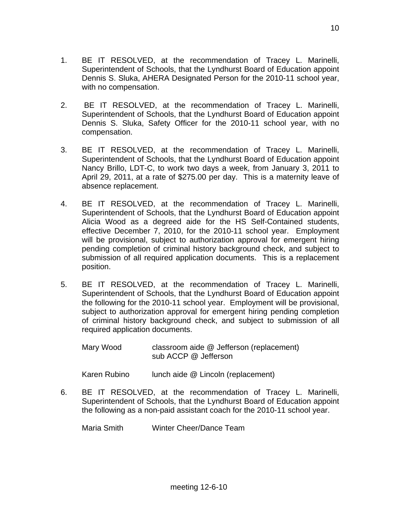- 1. BE IT RESOLVED, at the recommendation of Tracey L. Marinelli, Superintendent of Schools, that the Lyndhurst Board of Education appoint Dennis S. Sluka, AHERA Designated Person for the 2010-11 school year, with no compensation.
- 2. BE IT RESOLVED, at the recommendation of Tracey L. Marinelli, Superintendent of Schools, that the Lyndhurst Board of Education appoint Dennis S. Sluka, Safety Officer for the 2010-11 school year, with no compensation.
- 3. BE IT RESOLVED, at the recommendation of Tracey L. Marinelli, Superintendent of Schools, that the Lyndhurst Board of Education appoint Nancy Brillo, LDT-C, to work two days a week, from January 3, 2011 to April 29, 2011, at a rate of \$275.00 per day. This is a maternity leave of absence replacement.
- 4. BE IT RESOLVED, at the recommendation of Tracey L. Marinelli, Superintendent of Schools, that the Lyndhurst Board of Education appoint Alicia Wood as a degreed aide for the HS Self-Contained students, effective December 7, 2010, for the 2010-11 school year. Employment will be provisional, subject to authorization approval for emergent hiring pending completion of criminal history background check, and subject to submission of all required application documents. This is a replacement position.
- 5. BE IT RESOLVED, at the recommendation of Tracey L. Marinelli, Superintendent of Schools, that the Lyndhurst Board of Education appoint the following for the 2010-11 school year. Employment will be provisional, subject to authorization approval for emergent hiring pending completion of criminal history background check, and subject to submission of all required application documents.

 Mary Wood classroom aide @ Jefferson (replacement) sub ACCP @ Jefferson

Karen Rubino lunch aide @ Lincoln (replacement)

 6. BE IT RESOLVED, at the recommendation of Tracey L. Marinelli, Superintendent of Schools, that the Lyndhurst Board of Education appoint the following as a non-paid assistant coach for the 2010-11 school year.

Maria Smith Winter Cheer/Dance Team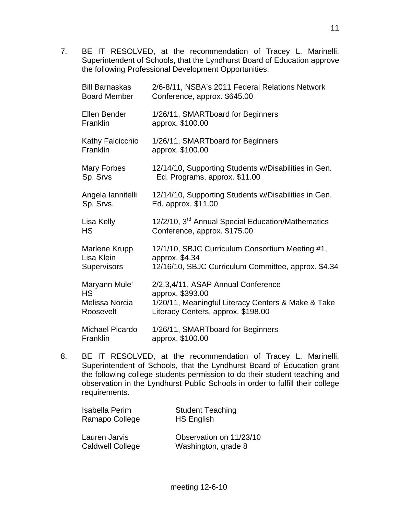7. BE IT RESOLVED, at the recommendation of Tracey L. Marinelli, Superintendent of Schools, that the Lyndhurst Board of Education approve the following Professional Development Opportunities.

| <b>Bill Barnaskas</b><br><b>Board Member</b>              | 2/6-8/11, NSBA's 2011 Federal Relations Network<br>Conference, approx. \$645.00                                                                    |
|-----------------------------------------------------------|----------------------------------------------------------------------------------------------------------------------------------------------------|
| <b>Ellen Bender</b><br>Franklin                           | 1/26/11, SMARTboard for Beginners<br>approx. \$100.00                                                                                              |
| Kathy Falcicchio<br>Franklin                              | 1/26/11, SMARTboard for Beginners<br>approx. \$100.00                                                                                              |
| Mary Forbes<br>Sp. Srvs                                   | 12/14/10, Supporting Students w/Disabilities in Gen.<br>Ed. Programs, approx. \$11.00                                                              |
| Angela lannitelli<br>Sp. Srvs.                            | 12/14/10, Supporting Students w/Disabilities in Gen.<br>Ed. approx. \$11.00                                                                        |
| Lisa Kelly<br><b>HS</b>                                   | 12/2/10, 3 <sup>rd</sup> Annual Special Education/Mathematics<br>Conference, approx. \$175.00                                                      |
| Marlene Krupp<br>Lisa Klein<br><b>Supervisors</b>         | 12/1/10, SBJC Curriculum Consortium Meeting #1,<br>approx. \$4.34<br>12/16/10, SBJC Curriculum Committee, approx. \$4.34                           |
| Maryann Mule'<br><b>HS</b><br>Melissa Norcia<br>Roosevelt | 2/2,3,4/11, ASAP Annual Conference<br>approx. \$393.00<br>1/20/11, Meaningful Literacy Centers & Make & Take<br>Literacy Centers, approx. \$198.00 |
| <b>Michael Picardo</b><br>Franklin                        | 1/26/11, SMARTboard for Beginners<br>approx. \$100.00                                                                                              |

 8. BE IT RESOLVED, at the recommendation of Tracey L. Marinelli, Superintendent of Schools, that the Lyndhurst Board of Education grant the following college students permission to do their student teaching and observation in the Lyndhurst Public Schools in order to fulfill their college requirements.

| Isabella Perim          | <b>Student Teaching</b> |
|-------------------------|-------------------------|
| Ramapo College          | <b>HS English</b>       |
| Lauren Jarvis           | Observation on 11/23/10 |
| <b>Caldwell College</b> | Washington, grade 8     |